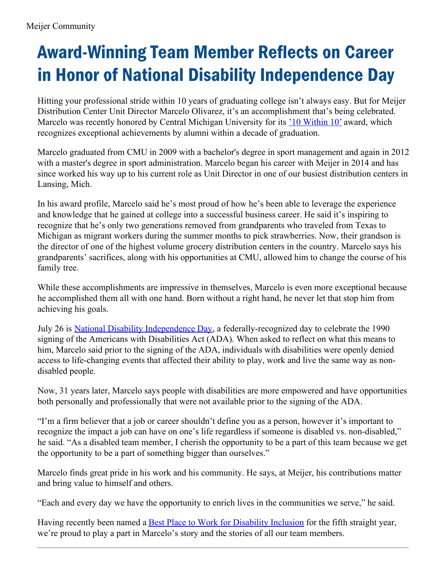## Award-Winning Team Member Reflects on Career in Honor of National Disability Independence Day

Hitting your professional stride within 10 years of graduating college isn't always easy. But for Meijer Distribution Center Unit Director Marcelo Olivarez, it's an accomplishment that's being celebrated. Marcelo was recently honored by Central Michigan University for its  $\frac{10 \text{ Within } 10 \text{'}$  $\frac{10 \text{ Within } 10 \text{'}$  $\frac{10 \text{ Within } 10 \text{'}$  award, which recognizes exceptional achievements by alumni within a decade of graduation.

Marcelo graduated from CMU in 2009 with a bachelor's degree in sport management and again in 2012 with a master's degree in sport administration. Marcelo began his career with Meijer in 2014 and has since worked his way up to his current role as Unit Director in one of our busiest distribution centers in Lansing, Mich.

In his award profile, Marcelo said he's most proud of how he's been able to leverage the experience and knowledge that he gained at college into a successful business career. He said it's inspiring to recognize that he's only two generations removed from grandparents who traveled from Texas to Michigan as migrant workers during the summer months to pick strawberries. Now, their grandson is the director of one of the highest volume grocery distribution centers in the country. Marcelo says his grandparents' sacrifices, along with his opportunities at CMU, allowed him to change the course of his family tree.

While these accomplishments are impressive in themselves, Marcelo is even more exceptional because he accomplished them all with one hand. Born without a right hand, he never let that stop him from achieving his goals.

July 26 is National Disability [Independence](https://www.ada.gov/30th_anniversary/index.html) Day, a federally-recognized day to celebrate the 1990 signing of the Americans with Disabilities Act (ADA). When asked to reflect on what this means to him, Marcelo said prior to the signing of the ADA, individuals with disabilities were openly denied access to life-changing events that affected their ability to play, work and live the same way as nondisabled people.

Now, 31 years later, Marcelo says people with disabilities are more empowered and have opportunities both personally and professionally that were not available prior to the signing of the ADA.

"I'm a firm believer that a job or career shouldn't define you as a person, however it's important to recognize the impact a job can have on one's life regardless if someone is disabled vs. non-disabled," he said. "As a disabled team member, I cherish the opportunity to be a part of this team because we get the opportunity to be a part of something bigger than ourselves."

Marcelo finds great pride in his work and his community. He says, at Meijer, his contributions matter and bring value to himself and others.

"Each and every day we have the opportunity to enrich lives in the communities we serve," he said.

Having recently been named a **Best Place to Work for [Disability](http://meijercommunity.com/Meijer-Named-a-Best-Place-to-Work-for-Disability-Inclusion-for-Fifth-Straight-Year) Inclusion** for the fifth straight year, we're proud to play a part in Marcelo's story and the stories of all our team members.